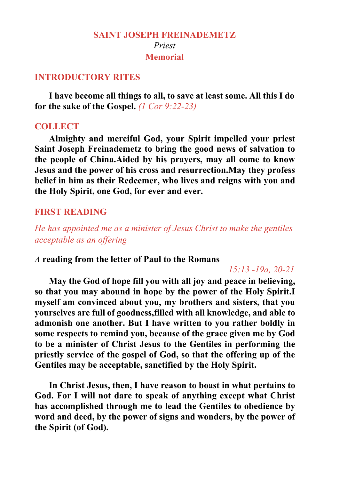## **SAINT JOSEPH FREINADEMETZ** *Priest* **Memorial**

### **INTRODUCTORY RITES**

**I have become all things to all, to save atleast some. All this I do for the sake of the Gospel.** *(1 Cor 9:22-23)*

### **COLLECT**

**Almighty and merciful God, your Spirit impelled your priest Saint Joseph Freinademetz to bring the good news of salvation to the people of China.Aided by his prayers, may all come to know Jesus and the power of his cross and resurrection.May they profess belief in him as their Redeemer, who lives and reigns with you and the Holy Spirit, one God, for ever and ever.**

### **FIRST READING**

*He has appointed me as a minister of Jesus Christ to make the gentiles acceptable as an of ering*

### *A* **reading from the letter of Paul to the Romans**

### *15:13 -19a, 20-21*

**May the God of hope fill you with all joy and peace in believing, so that you may abound in hope by the power of the Holy Spirit.I myself am convinced about you, my brothers and sisters, that you yourselves are full of goodness,filled with all knowledge, and able to admonish one another. But I have written to you rather boldly in some respects to remind you, because of the grace given me by God to be a minister of Christ Jesus to the Gentiles in performing the priestly service of the gospel of God, so that the offering up of the Gentiles may be acceptable, sanctified by the Holy Spirit.**

In Christ Jesus, then, I have reason to boast in what pertains to **God. For I will not dare to speak of anything except what Christ has accomplished through me to lead the Gentiles to obedience by word and deed, by the power of signs and wonders, by the power of the Spirit (of God).**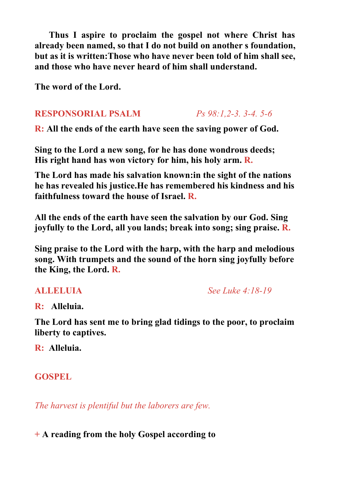**Thus I aspire to proclaim the gospelnot where Christ has already been named, so that I do not build on another s foundation, but as it is written:Those who have never been told of him shall see, and those who have never heard of him shallunderstand.**

**The word of the Lord.**

## **RESPONSORIAL PSALM** *Ps 98:1,2-3. 3-4. 5-6*

**R:** All the ends of the earth have seen the saving power of God.

**Sing to the Lord a new song, for he has done wondrous deeds; His right hand has won victory for him, his holy arm. R.**

**The Lord has made his salvation known:in the sight of the nations he has revealed his justice.He has remembered his kindness and his faithfulness toward the house of Israel. R.**

**All the ends ofthe earth have seen the salvation by our God. Sing joyfully to the Lord, all you lands; break into song; sing praise. R.**

**Sing praise to the Lord with the harp, with the harp and melodious song. With trumpets and the sound of the horn sing joyfully before the King, the Lord. R.**

**ALLELUIA** *See Luke 4:18-19*

**R: Alleluia.**

**The Lord has sent me to bring glad tidings to the poor, to proclaim liberty to captives.**

**R: Alleluia.**

# **GOSPEL**

*The harvest is plentiful but the laborers are few.*

**+ A reading from the holy Gospel according to**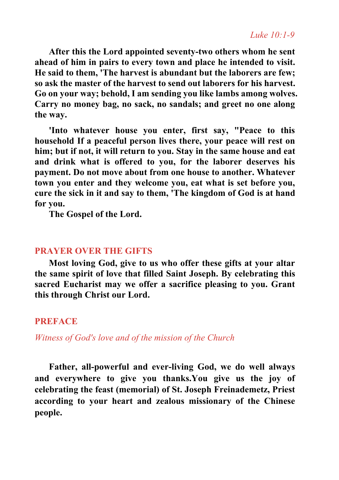**After this the Lord appointed seventy-two others whom he sent ahead of him in pairs to every town and place he intended to visit. He said to them, 'The harvest is abundant but the laborers are few; so ask the master of the harvest to send out laborers for his harvest. Go on your way; behold, I am sending you like lambs among wolves. Carry no money bag, no sack, no sandals; and greet no one along the way.**

**'Into whatever house you enter, first say, "Peace to this household If a peaceful person lives there, your peace will rest on him; but if not, it will return to you. Stay in the same house and eat and drink what is offered to you, for the laborer deserves his payment. Do not move about from one house to another. Whatever town you enter and they welcome you, eat what is set before you, cure the sick in it and say to them, 'The kingdom of God is athand for you.**

**The Gospel of the Lord.**

## **PRAYER OVER THE GIFTS**

**Most loving God, give to us who offer these gifts at your altar the same spirit of love thatfilled Saint Joseph. By celebrating this sacred Eucharist may we offer a sacrifice pleasing to you. Grant this through Christ our Lord.**

## **PREFACE**

*Witness of God's love and of the mission of the Church*

**Father, all-powerful and ever-living God, we do well always and everywhere to give you thanks.You give us the joy of celebrating the feast (memorial) of St. Joseph Freinademetz, Priest according to your heart and zealous missionary of the Chinese people.**